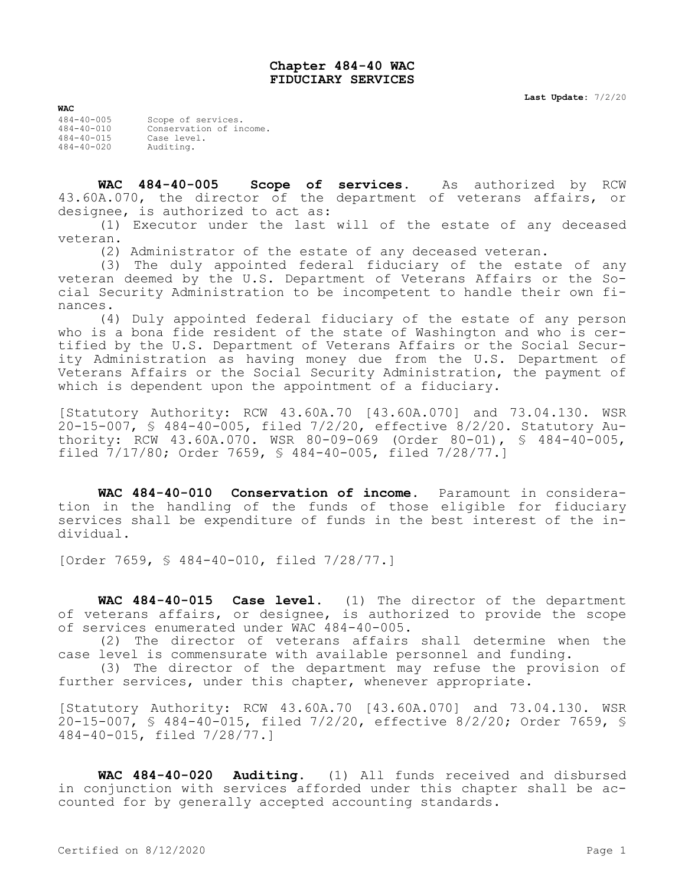## **Chapter 484-40 WAC FIDUCIARY SERVICES**

| <b>WAC</b>       |                         |
|------------------|-------------------------|
| $484 - 40 - 005$ | Scope of services.      |
| $484 - 40 - 010$ | Conservation of income. |
| $484 - 40 - 015$ | Case level.             |
| $484 - 40 - 020$ | Auditing.               |

**WAC 484-40-005 Scope of services.** As authorized by RCW 43.60A.070, the director of the department of veterans affairs, or designee, is authorized to act as:

(1) Executor under the last will of the estate of any deceased veteran.

(2) Administrator of the estate of any deceased veteran.

(3) The duly appointed federal fiduciary of the estate of any veteran deemed by the U.S. Department of Veterans Affairs or the Social Security Administration to be incompetent to handle their own finances.

(4) Duly appointed federal fiduciary of the estate of any person who is a bona fide resident of the state of Washington and who is certified by the U.S. Department of Veterans Affairs or the Social Security Administration as having money due from the U.S. Department of Veterans Affairs or the Social Security Administration, the payment of which is dependent upon the appointment of a fiduciary.

[Statutory Authority: RCW 43.60A.70 [43.60A.070] and 73.04.130. WSR 20-15-007, § 484-40-005, filed 7/2/20, effective 8/2/20. Statutory Authority: RCW 43.60A.070. WSR 80-09-069 (Order 80-01), § 484-40-005, filed 7/17/80; Order 7659, § 484-40-005, filed 7/28/77.]

**WAC 484-40-010 Conservation of income.** Paramount in consideration in the handling of the funds of those eligible for fiduciary services shall be expenditure of funds in the best interest of the individual.

[Order 7659, § 484-40-010, filed 7/28/77.]

**WAC 484-40-015 Case level.** (1) The director of the department of veterans affairs, or designee, is authorized to provide the scope of services enumerated under WAC 484-40-005.

(2) The director of veterans affairs shall determine when the case level is commensurate with available personnel and funding.

(3) The director of the department may refuse the provision of further services, under this chapter, whenever appropriate.

[Statutory Authority: RCW 43.60A.70 [43.60A.070] and 73.04.130. WSR 20-15-007, § 484-40-015, filed 7/2/20, effective 8/2/20; Order 7659, § 484-40-015, filed 7/28/77.]

**WAC 484-40-020 Auditing.** (1) All funds received and disbursed in conjunction with services afforded under this chapter shall be accounted for by generally accepted accounting standards.